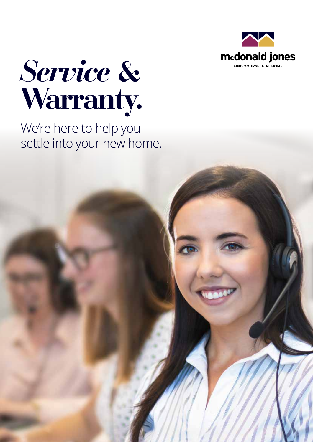



We're here to help you settle into your new home.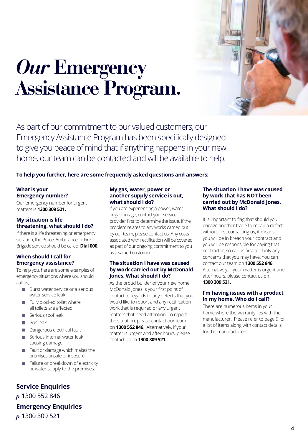

### *Our* **Emergency Assistance Program.**

As part of our commitment to our valued customers, our Emergency Assistance Program has been specifically designed to give you peace of mind that if anything happens in your new home, our team can be contacted and will be available to help.

**To help you further, here are some frequently asked questions and answers:**

#### **What is your Emergency number?**

Our emergency number for urgent matters is **1300 309 521.**

#### **My situation is life threatening, what should I do?**

If there is a life threatening or emergency situation, the Police, Ambulance or Fire Brigade service should be called. **Dial 000**.

#### **When should I call for Emergency assistance?**

To help you, here are some examples of emergency situations where you should call us;

- $\blacksquare$  Burst water service or a serious water service leak
- **Fully blocked toilet where** all toilets are affected
- **Serious roof leak**
- Gas leak
- Dangerous electrical fault
- Serious internal water leak causing damage
- Fault or damage which makes the premises unsafe or insecure
- Failure or breakdown of electricity or water supply to the premises.

#### **Service Enquiries**

*p* 1300 552 846 **Emergency Enquiries** *p* 1300 309 521

#### **My gas, water, power or another supply service is out, what should I do?**

If you are experiencing a power, water or gas outage, contact your service provider first to determine the issue. If the problem relates to any works carried out by our team, please contact us. Any costs associated with rectification will be covered as part of our ongoing commitment to you as a valued customer.

#### **The situation I have was caused by work carried out by McDonald Jones. What should I do?**

As the proud builder of your new home, McDonald Jones is your first point of contact in regards to any defects that you would like to report and any rectification work that is required or any urgent matters that need attention. To report the situation, please contact our team on **1300 552 846**. Alternatively, if your matter is urgent and after hours, please contact us on **1300 309 521.**

#### **The situation I have was caused by work that has NOT been carried out by McDonald Jones. What should I do?**

It is important to flag that should you engage another trade to repair a defect without first contacting us, it means you will be in breach your contract and you will be responsible for paying that contractor, so call us first to clarify any concerns that you may have. You can contact our team on **1300 552 846**. Alternatively, if your matter is urgent and after hours, please contact us on **1300 309 521.**

#### **I'm having issues with a product in my home. Who do I call?**

There are numerous items in your home where the warranty lies with the manufacturer. Please refer to page 5 for a list of items along with contact details for the manufacturers.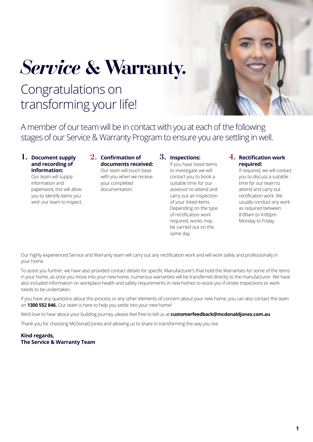# *Service* **& Warranty.**

### Congratulations on transforming your life!

A member of our team will be in contact with you at each of the following stages of our Service & Warranty Program to ensure you are settling in well.

#### **1. Document supply and recording of information:**

Our team will supply information and paperwork, this will allow you to identify items you wish our team to inspect.

#### **2. Confirmation of documents received:**

Our team will touch base with you when we receive your completed documentation.

#### **3. Inspections:**

If you have listed items to investigate we will contact you to book a suitable time for our assessor to attend and carry out an inspection of your listed items. Depending on the type of rectification work required, works may be carried out on the same day.

#### **4. Rectification work required:**

If required, we will contact you to discuss a suitable time for our team to attend and carry out rectification work. We usually conduct any work as required between 8:00am to 4:00pm Monday to Friday.

Our highly experienced Service and Warranty team will carry out any rectification work and will work safely and professionally in your home.

To assist you further, we have also provided contact details for specific Manufacturer's that hold the Warranties for some of the items in your home, as once you move into your new home, numerous warranties will be transferred directly to the manufacturer. We have also included information on workplace health and safety requirements in new homes to assist you if onsite inspections or work needs to be undertaken.

If you have any questions about this process or any other elements of concern about your new home, you can also contact the team on **1300 552 846.** Our team is here to help you settle into your new home!

We'd love to hear about your building journey, please feel free to tell us at **customerfeedback@mcdonaldjones.com.au**

Thank you for choosing McDonald Jones and allowing us to share in transforming the way you live.

#### **Kind regards, The Service & Warranty Team**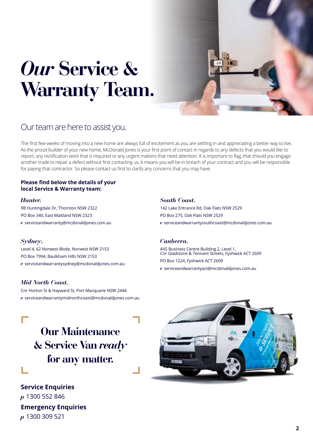## *Our* **Service & Warranty Team.**



### Our team are here to assist you.

The first few weeks of moving into a new home are always full of excitement as you are settling in and appreciating a better way to live. As the proud builder of your new home, McDonald Jones is your first point of contact in regards to any defects that you would like to report, any rectification work that is required or any urgent matters that need attention. It is important to flag, that should you engage another trade to repair a defect without first contacting us, it means you will be in breach of your contract and you will be responsible for paying that contractor. So please contact us first to clarify any concerns that you may have.

#### **Please find below the details of your local Service & Warranty team:**

#### *Hunter.*

9B Huntingdale Dr, Thornton NSW 2322 PO Box 340, East Maitland NSW 2323 *e* serviceandwarranty@mcdonaldjones.com.au

#### *Sydney.*

Level 4, 62 Norwest Blvde, Norwest NSW 2153 PO Box 7994, Baulkham Hills NSW 2153 *e* serviceandwarrantysydney@mcdonaldjones.com.au

#### *Mid North Coast.*

Cnr Horton St & Hayward St, Port Macquarie NSW 2444 *e* serviceandwarrantymidnorthcoast@mcdonaldjones.com.au

#### *South Coast.*

142 Lake Entrance Rd, Oak Flats NSW 2529 PO Box 275, Oak Flats NSW 2529 *e* serviceandwarrantysouthcoast@mcdonaldjones.com.au

#### *Canberra.*

AXS Business Centre Building 2, Level 1, Cnr Gladstone & Tennant Streets, Fyshwick ACT 2609 PO Box 1224, Fyshwick ACT 2609 *e* serviceandwarrantyact@mcdonaldjones.com.au



**Service Enquiries** *p* 1300 552 846 **Emergency Enquiries** *p* 1300 309 521

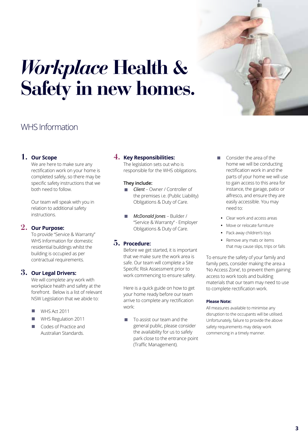

## *Workplace* **Health & Safety in new homes.**

### WHS Information

#### **1. Our Scope**

We are here to make sure any rectification work on your home is completed safely, so there may be specific safety instructions that we both need to follow.

Our team will speak with you in relation to additional safety instructions.

#### **2. Our Purpose:**

To provide "Service & Warranty" WHS Information for domestic residential buildings whilst the building is occupied as per contractual requirements.

#### **3. Our Legal Drivers:**

We will complete any work with workplace health and safety at the forefront. Below is a list of relevant NSW Legislation that we abide to:

- WHS Act 2011
- WHS Regulation 2011
- m. Codes of Practice and Australian Standards.

#### **4. Key Responsibilities:**

The legislation sets out who is responsible for the WHS obligations.

#### **They include:**

- *Client*  Owner / Controller of the premises i.e. (Public Liability) Obligations & Duty of Care.
- *McDonald Jones* Builder / "Service & Warranty" - Employer Obligations & Duty of Care.

#### **5. Procedure:**

Before we get started, it is important that we make sure the work area is safe. Our team will complete a Site Specific Risk Assessment prior to work commencing to ensure safety.

Here is a quick guide on how to get your home ready before our team arrive to complete any rectification work:

 To assist our team and the general public, please consider the availability for us to safely park close to the entrance point (Traffic Management).

- Consider the area of the home we will be conducting rectification work in and the parts of your home we will use to gain access to this area for instance, the garage, patio or alfresco, and ensure they are easily accessible. You may need to:
- **•** Clear work and access areas
- **•** Move or relocate furniture
- **•** Pack away children's toys
- **•** Remove any mats or items that may cause slips, trips or falls

To ensure the safety of your family and family pets, consider making the area a 'No Access Zone', to prevent them gaining access to work tools and building materials that our team may need to use to complete rectification work.

#### **Please Note:**

All measures available to minimise any disruption to the occupants will be utilised. Unfortunately, failure to provide the above safety requirements may delay work commencing in a timely manner.